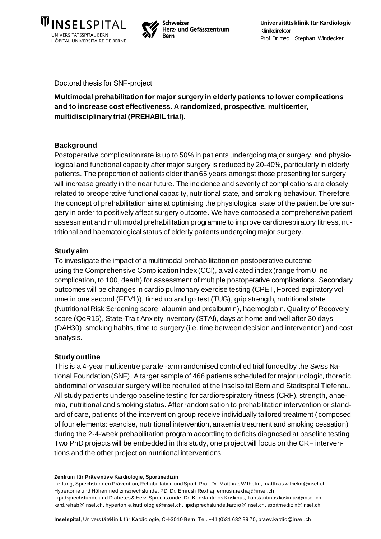



Doctoral thesis for SNF-project

**Multimodal prehabilitation for major surgery in elderly patients to lower complications and to increase cost effectiveness. A randomized, prospective, multicenter, multidisciplinary trial (PREHABIL trial).**

# **Background**

Postoperative complication rate is up to 50% in patients undergoing major surgery, and physiological and functional capacity after major surgery is reduced by 20-40%, particularly in elderly patients. The proportion of patients older than 65 years amongst those presenting for surgery will increase greatly in the near future. The incidence and severity of complications are closely related to preoperative functional capacity, nutritional state, and smoking behaviour. Therefore, the concept of prehabilitation aims at optimising the physiological state of the patient before surgery in order to positively affect surgery outcome. We have composed a comprehensive patient assessment and multimodal prehabilitation programme to improve cardiorespiratory fitness, nutritional and haematological status of elderly patients undergoing major surgery.

# **Study aim**

To investigate the impact of a multimodal prehabilitation on postoperative outcome using the Comprehensive Complication Index (CCI), a validated index (range from 0, no complication, to 100, death) for assessment of multiple postoperative complications. Secondary outcomes will be changes in cardio pulmonary exercise testing (CPET, Forced expiratory volume in one second (FEV1)), timed up and go test (TUG), grip strength, nutritional state (Nutritional Risk Screening score, albumin and prealbumin), haemoglobin, Quality of Recovery score (QoR15), State-Trait Anxiety Inventory (STAI), days at home and well after 30 days (DAH30), smoking habits, time to surgery (i.e. time between decision and intervention) and cost analysis.

# **Study outline**

This is a 4-year multicentre parallel-arm randomised controlled trial funded by the Swiss National Foundation (SNF). A target sample of 466 patients scheduled for major urologic, thoracic, abdominal or vascular surgery will be recruited at the Inselspital Bern and Stadtspital Tiefenau. All study patients undergo baseline testing for cardiorespiratory fitness (CRF), strength, anaemia, nutritional and smoking status. After randomisation to prehabilitation intervention or standard of care, patients of the intervention group receive individually tailored treatment ( composed of four elements: exercise, nutritional intervention, anaemia treatment and smoking cessation) during the 2-4-week prehabilitation program according to deficits diagnosed at baseline testing. Two PhD projects will be embedded in this study, one project will focus on the CRF interventions and the other project on nutritional interventions.

#### **Zentrum für Präv entiv e Kardiologie, Sportmedizin**

Leitung, Sprechstunden Prävention, Rehabilitation und Sport: Prof. Dr. Matthias Wilhelm, matthias.wilhelm@insel.ch Hypertonie und Höhenmedizinsprechstunde: PD. Dr. Emrush Rexhaj, emrush.rexhaj@insel.ch Lipidsprechstunde und Diabetes & Herz Sprechstunde: Dr. Konstantinos Koskinas, konstantinos.koskinas@insel.ch kard.rehab@insel.ch[, hypertonie.kardiologie@insel.ch](mailto:Hypertonie.Kardiologie@insel.ch), lipidsprechstunde.kardio@insel.ch, sportmedizin@insel.ch